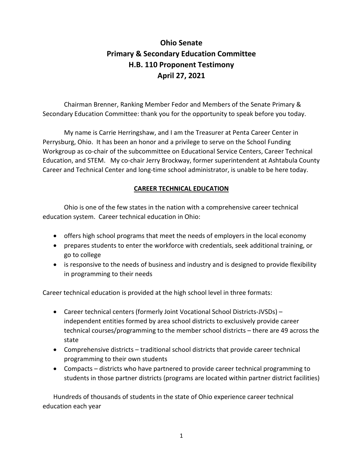# **Ohio Senate Primary & Secondary Education Committee H.B. 110 Proponent Testimony April 27, 2021**

Chairman Brenner, Ranking Member Fedor and Members of the Senate Primary & Secondary Education Committee: thank you for the opportunity to speak before you today.

My name is Carrie Herringshaw, and I am the Treasurer at Penta Career Center in Perrysburg, Ohio. It has been an honor and a privilege to serve on the School Funding Workgroup as co-chair of the subcommittee on Educational Service Centers, Career Technical Education, and STEM. My co-chair Jerry Brockway, former superintendent at Ashtabula County Career and Technical Center and long-time school administrator, is unable to be here today.

## **CAREER TECHNICAL EDUCATION**

Ohio is one of the few states in the nation with a comprehensive career technical education system. Career technical education in Ohio:

- offers high school programs that meet the needs of employers in the local economy
- prepares students to enter the workforce with credentials, seek additional training, or go to college
- is responsive to the needs of business and industry and is designed to provide flexibility in programming to their needs

Career technical education is provided at the high school level in three formats:

- Career technical centers (formerly Joint Vocational School Districts-JVSDs) independent entities formed by area school districts to exclusively provide career technical courses/programming to the member school districts – there are 49 across the state
- Comprehensive districts traditional school districts that provide career technical programming to their own students
- Compacts districts who have partnered to provide career technical programming to students in those partner districts (programs are located within partner district facilities)

Hundreds of thousands of students in the state of Ohio experience career technical education each year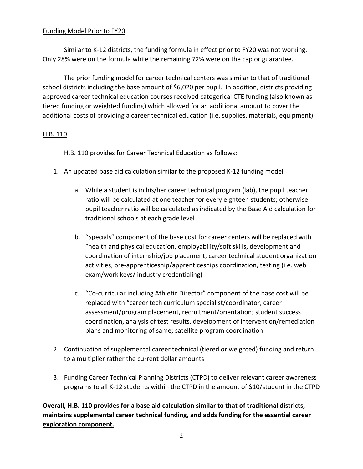## Funding Model Prior to FY20

Similar to K-12 districts, the funding formula in effect prior to FY20 was not working. Only 28% were on the formula while the remaining 72% were on the cap or guarantee.

The prior funding model for career technical centers was similar to that of traditional school districts including the base amount of \$6,020 per pupil. In addition, districts providing approved career technical education courses received categorical CTE funding (also known as tiered funding or weighted funding) which allowed for an additional amount to cover the additional costs of providing a career technical education (i.e. supplies, materials, equipment).

## H.B. 110

H.B. 110 provides for Career Technical Education as follows:

- 1. An updated base aid calculation similar to the proposed K-12 funding model
	- a. While a student is in his/her career technical program (lab), the pupil teacher ratio will be calculated at one teacher for every eighteen students; otherwise pupil teacher ratio will be calculated as indicated by the Base Aid calculation for traditional schools at each grade level
	- b. "Specials" component of the base cost for career centers will be replaced with "health and physical education, employability/soft skills, development and coordination of internship/job placement, career technical student organization activities, pre-apprenticeship/apprenticeships coordination, testing (i.e. web exam/work keys/ industry credentialing)
	- c. "Co-curricular including Athletic Director" component of the base cost will be replaced with "career tech curriculum specialist/coordinator, career assessment/program placement, recruitment/orientation; student success coordination, analysis of test results, development of intervention/remediation plans and monitoring of same; satellite program coordination
- 2. Continuation of supplemental career technical (tiered or weighted) funding and return to a multiplier rather the current dollar amounts
- 3. Funding Career Technical Planning Districts (CTPD) to deliver relevant career awareness programs to all K-12 students within the CTPD in the amount of \$10/student in the CTPD

## **Overall, H.B. 110 provides for a base aid calculation similar to that of traditional districts, maintains supplemental career technical funding, and adds funding for the essential career exploration component.**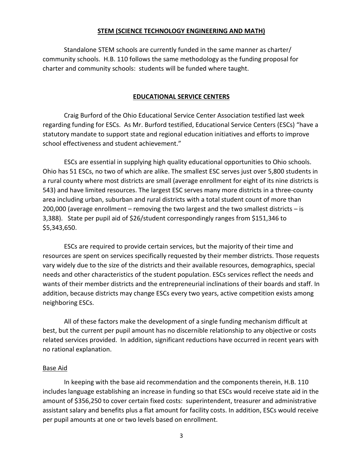### **STEM (SCIENCE TECHNOLOGY ENGINEERING AND MATH)**

Standalone STEM schools are currently funded in the same manner as charter/ community schools. H.B. 110 follows the same methodology as the funding proposal for charter and community schools: students will be funded where taught.

### **EDUCATIONAL SERVICE CENTERS**

Craig Burford of the Ohio Educational Service Center Association testified last week regarding funding for ESCs. As Mr. Burford testified, Educational Service Centers (ESCs) "have a statutory mandate to support state and regional education initiatives and efforts to improve school effectiveness and student achievement."

ESCs are essential in supplying high quality educational opportunities to Ohio schools. Ohio has 51 ESCs, no two of which are alike. The smallest ESC serves just over 5,800 students in a rural county where most districts are small (average enrollment for eight of its nine districts is 543) and have limited resources. The largest ESC serves many more districts in a three-county area including urban, suburban and rural districts with a total student count of more than 200,000 (average enrollment – removing the two largest and the two smallest districts – is 3,388). State per pupil aid of \$26/student correspondingly ranges from \$151,346 to \$5,343,650.

ESCs are required to provide certain services, but the majority of their time and resources are spent on services specifically requested by their member districts. Those requests vary widely due to the size of the districts and their available resources, demographics, special needs and other characteristics of the student population. ESCs services reflect the needs and wants of their member districts and the entrepreneurial inclinations of their boards and staff. In addition, because districts may change ESCs every two years, active competition exists among neighboring ESCs.

All of these factors make the development of a single funding mechanism difficult at best, but the current per pupil amount has no discernible relationship to any objective or costs related services provided. In addition, significant reductions have occurred in recent years with no rational explanation.

### Base Aid

In keeping with the base aid recommendation and the components therein, H.B. 110 includes language establishing an increase in funding so that ESCs would receive state aid in the amount of \$356,250 to cover certain fixed costs: superintendent, treasurer and administrative assistant salary and benefits plus a flat amount for facility costs. In addition, ESCs would receive per pupil amounts at one or two levels based on enrollment.